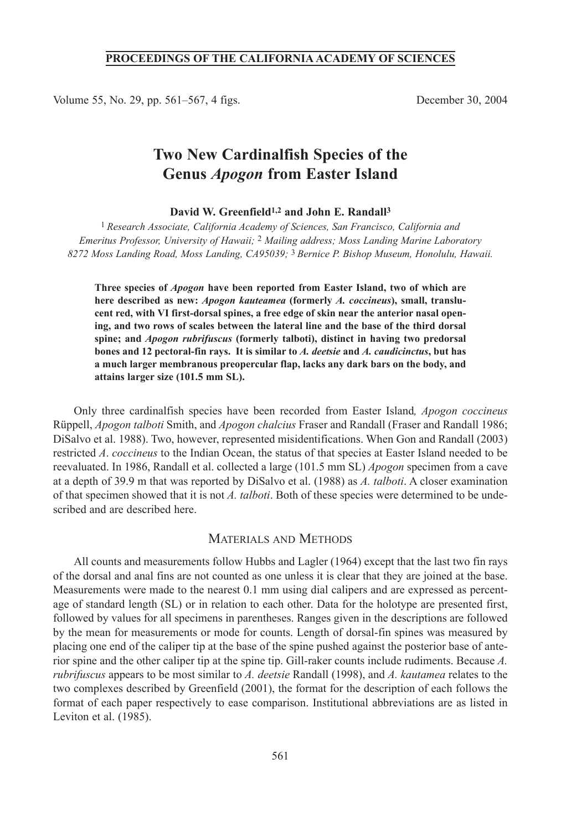### **PROCEEDINGS OF THE CALIFORNIA ACADEMY OF SCIENCES**

Volume 55, No. 29, pp. 561–567, 4 figs. December 30, 2004

# **Two New Cardinalfish Species of the Genus** *Apogon* **from Easter Island**

#### **David W. Greenfield1,2 and John E. Randall3**

1 *Research Associate, California Academy of Sciences, San Francisco, California and Emeritus Professor, University of Hawaii;* 2 *Mailing address; Moss Landing Marine Laboratory 8272 Moss Landing Road, Moss Landing, CA95039;* 3 *Bernice P. Bishop Museum, Honolulu, Hawaii.*

**Three species of** *Apogon* **have been reported from Easter Island, two of which are here described as new:** *Apogon kauteamea* **(formerly** *A. coccineus***), small, translucent red, with VI first-dorsal spines, a free edge of skin near the anterior nasal opening, and two rows of scales between the lateral line and the base of the third dorsal spine; and** *Apogon rubrifuscus* **(formerly talboti), distinct in having two predorsal bones and 12 pectoral-fin rays. It is similar to** *A. deetsie* **and** *A. caudicinctus***, but has a much larger membranous preopercular flap, lacks any dark bars on the body, and attains larger size (101.5 mm SL).**

Only three cardinalfish species have been recorded from Easter Island*, Apogon coccineus* Rüppell, *Apogon talboti* Smith, and *Apogon chalcius* Fraser and Randall (Fraser and Randall 1986; DiSalvo et al. 1988). Two, however, represented misidentifications. When Gon and Randall (2003) restricted *A*. *coccineus* to the Indian Ocean, the status of that species at Easter Island needed to be reevaluated. In 1986, Randall et al. collected a large (101.5 mm SL) *Apogon* specimen from a cave at a depth of 39.9 m that was reported by DiSalvo et al. (1988) as *A. talboti*. A closer examination of that specimen showed that it is not *A. talboti*. Both of these species were determined to be undescribed and are described here.

# MATERIALS AND METHODS

All counts and measurements follow Hubbs and Lagler (1964) except that the last two fin rays of the dorsal and anal fins are not counted as one unless it is clear that they are joined at the base. Measurements were made to the nearest 0.1 mm using dial calipers and are expressed as percentage of standard length (SL) or in relation to each other. Data for the holotype are presented first, followed by values for all specimens in parentheses. Ranges given in the descriptions are followed by the mean for measurements or mode for counts. Length of dorsal-fin spines was measured by placing one end of the caliper tip at the base of the spine pushed against the posterior base of anterior spine and the other caliper tip at the spine tip. Gill-raker counts include rudiments. Because *A. rubrifuscus* appears to be most similar to *A. deetsie* Randall (1998), and *A. kautamea* relates to the two complexes described by Greenfield (2001), the format for the description of each follows the format of each paper respectively to ease comparison. Institutional abbreviations are as listed in Leviton et al. (1985).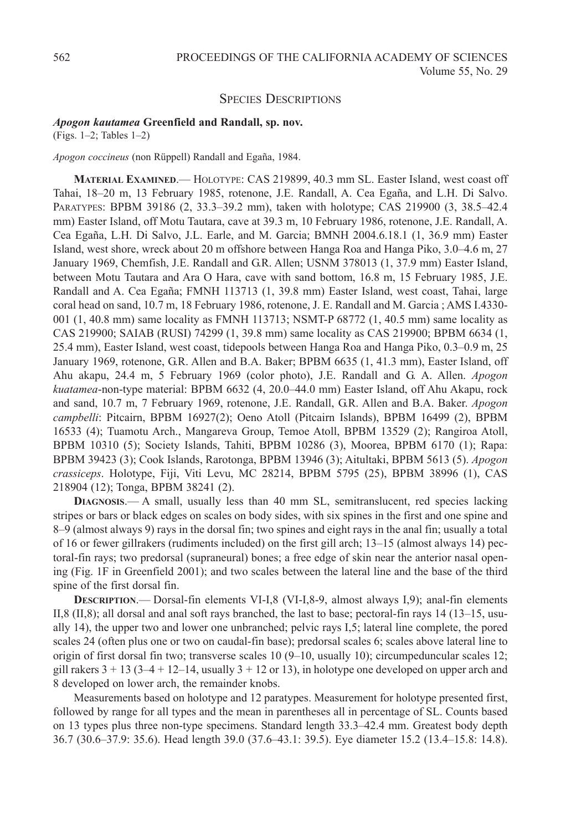# SPECIES DESCRIPTIONS

#### *Apogon kautamea* **Greenfield and Randall, sp. nov.**

(Figs. 1–2; Tables 1–2)

*Apogon coccineus* (non Rüppell) Randall and Egaña, 1984.

**MATERIAL EXAMINED**.— HOLOTYPE: CAS 219899, 40.3 mm SL. Easter Island, west coast off Tahai, 18–20 m, 13 February 1985, rotenone, J.E. Randall, A. Cea Egaña, and L.H. Di Salvo. PARATYPES: BPBM 39186 (2, 33.3–39.2 mm), taken with holotype; CAS 219900 (3, 38.5–42.4 mm) Easter Island, off Motu Tautara, cave at 39.3 m, 10 February 1986, rotenone, J.E. Randall, A. Cea Egaña, L.H. Di Salvo, J.L. Earle, and M. Garcia; BMNH 2004.6.18.1 (1, 36.9 mm) Easter Island, west shore, wreck about 20 m offshore between Hanga Roa and Hanga Piko, 3.0–4.6 m, 27 January 1969, Chemfish, J.E. Randall and G.R. Allen; USNM 378013 (1, 37.9 mm) Easter Island, between Motu Tautara and Ara O Hara, cave with sand bottom, 16.8 m, 15 February 1985, J.E. Randall and A. Cea Egaña; FMNH 113713 (1, 39.8 mm) Easter Island, west coast, Tahai, large coral head on sand, 10.7 m, 18 February 1986, rotenone, J. E. Randall and M. Garcia ; AMS I.4330- 001 (1, 40.8 mm) same locality as FMNH 113713; NSMT-P 68772 (1, 40.5 mm) same locality as CAS 219900; SAIAB (RUSI) 74299 (1, 39.8 mm) same locality as CAS 219900; BPBM 6634 (1, 25.4 mm), Easter Island, west coast, tidepools between Hanga Roa and Hanga Piko, 0.3–0.9 m, 25 January 1969, rotenone, G.R. Allen and B.A. Baker; BPBM 6635 (1, 41.3 mm), Easter Island, off Ahu akapu, 24.4 m, 5 February 1969 (color photo), J.E. Randall and G. A. Allen. *Apogon kuatamea*-non-type material: BPBM 6632 (4, 20.0–44.0 mm) Easter Island, off Ahu Akapu, rock and sand, 10.7 m, 7 February 1969, rotenone, J.E. Randall, G.R. Allen and B.A. Baker. *Apogon campbelli*: Pitcairn, BPBM 16927(2); Oeno Atoll (Pitcairn Islands), BPBM 16499 (2), BPBM 16533 (4); Tuamotu Arch., Mangareva Group, Temoe Atoll, BPBM 13529 (2); Rangiroa Atoll, BPBM 10310 (5); Society Islands, Tahiti, BPBM 10286 (3), Moorea, BPBM 6170 (1); Rapa: BPBM 39423 (3); Cook Islands, Rarotonga, BPBM 13946 (3); Aitultaki, BPBM 5613 (5). *Apogon crassiceps*. Holotype, Fiji, Viti Levu, MC 28214, BPBM 5795 (25), BPBM 38996 (1), CAS 218904 (12); Tonga, BPBM 38241 (2).

**DIAGNOSIS**.— A small, usually less than 40 mm SL, semitranslucent, red species lacking stripes or bars or black edges on scales on body sides, with six spines in the first and one spine and 8–9 (almost always 9) rays in the dorsal fin; two spines and eight rays in the anal fin; usually a total of 16 or fewer gillrakers (rudiments included) on the first gill arch; 13–15 (almost always 14) pectoral-fin rays; two predorsal (supraneural) bones; a free edge of skin near the anterior nasal opening (Fig. 1F in Greenfield 2001); and two scales between the lateral line and the base of the third spine of the first dorsal fin.

**DESCRIPTION**.— Dorsal-fin elements VI-I,8 (VI-I,8-9, almost always I,9); anal-fin elements II,8 (II,8); all dorsal and anal soft rays branched, the last to base; pectoral-fin rays 14 (13–15, usually 14), the upper two and lower one unbranched; pelvic rays I,5; lateral line complete, the pored scales 24 (often plus one or two on caudal-fin base); predorsal scales 6; scales above lateral line to origin of first dorsal fin two; transverse scales 10 (9–10, usually 10); circumpeduncular scales 12; gill rakers  $3 + 13$  ( $3-4 + 12-14$ , usually  $3 + 12$  or 13), in holotype one developed on upper arch and 8 developed on lower arch, the remainder knobs.

Measurements based on holotype and 12 paratypes. Measurement for holotype presented first, followed by range for all types and the mean in parentheses all in percentage of SL. Counts based on 13 types plus three non-type specimens. Standard length 33.3–42.4 mm. Greatest body depth 36.7 (30.6–37.9: 35.6). Head length 39.0 (37.6–43.1: 39.5). Eye diameter 15.2 (13.4–15.8: 14.8).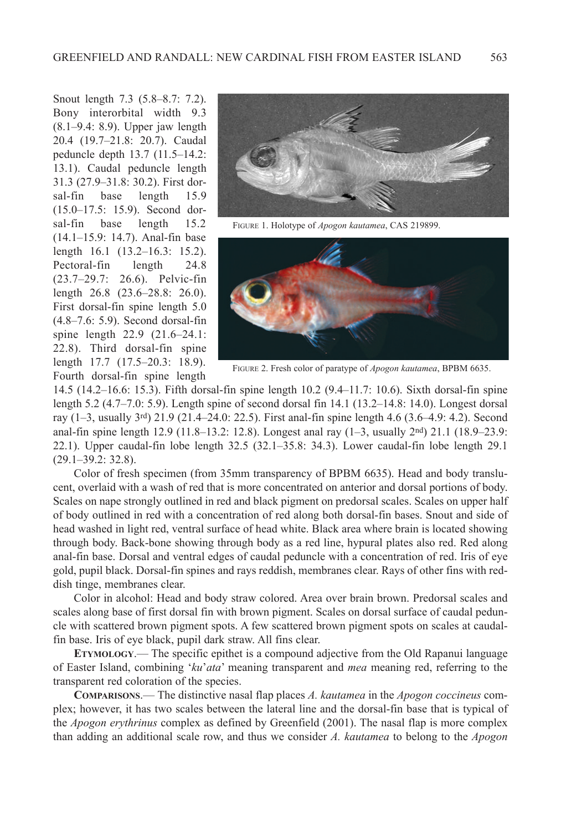Snout length 7.3 (5.8–8.7: 7.2). Bony interorbital width 9.3 (8.1–9.4: 8.9). Upper jaw length 20.4 (19.7–21.8: 20.7). Caudal peduncle depth 13.7 (11.5–14.2: 13.1). Caudal peduncle length 31.3 (27.9–31.8: 30.2). First dorsal-fin base length 15.9 (15.0–17.5: 15.9). Second dorsal-fin base length 15.2 (14.1–15.9: 14.7). Anal-fin base length 16.1 (13.2–16.3: 15.2). Pectoral-fin length 24.8 (23.7–29.7: 26.6). Pelvic-fin length 26.8 (23.6–28.8: 26.0). First dorsal-fin spine length 5.0 (4.8–7.6: 5.9). Second dorsal-fin spine length 22.9 (21.6–24.1: 22.8). Third dorsal-fin spine length 17.7 (17.5–20.3: 18.9). Fourth dorsal-fin spine length



FIGURE 1. Holotype of *Apogon kautamea*, CAS 219899.



FIGURE 2. Fresh color of paratype of *Apogon kautamea*, BPBM 6635.

14.5 (14.2–16.6: 15.3). Fifth dorsal-fin spine length 10.2 (9.4–11.7: 10.6). Sixth dorsal-fin spine length 5.2 (4.7–7.0: 5.9). Length spine of second dorsal fin 14.1 (13.2–14.8: 14.0). Longest dorsal ray (1–3, usually 3rd) 21.9 (21.4–24.0: 22.5). First anal-fin spine length 4.6 (3.6–4.9: 4.2). Second anal-fin spine length 12.9 (11.8–13.2: 12.8). Longest anal ray (1–3, usually 2nd) 21.1 (18.9–23.9: 22.1). Upper caudal-fin lobe length 32.5 (32.1–35.8: 34.3). Lower caudal-fin lobe length 29.1 (29.1–39.2: 32.8).

Color of fresh specimen (from 35mm transparency of BPBM 6635). Head and body translucent, overlaid with a wash of red that is more concentrated on anterior and dorsal portions of body. Scales on nape strongly outlined in red and black pigment on predorsal scales. Scales on upper half of body outlined in red with a concentration of red along both dorsal-fin bases. Snout and side of head washed in light red, ventral surface of head white. Black area where brain is located showing through body. Back-bone showing through body as a red line, hypural plates also red. Red along anal-fin base. Dorsal and ventral edges of caudal peduncle with a concentration of red. Iris of eye gold, pupil black. Dorsal-fin spines and rays reddish, membranes clear. Rays of other fins with reddish tinge, membranes clear.

Color in alcohol: Head and body straw colored. Area over brain brown. Predorsal scales and scales along base of first dorsal fin with brown pigment. Scales on dorsal surface of caudal peduncle with scattered brown pigment spots. A few scattered brown pigment spots on scales at caudalfin base. Iris of eye black, pupil dark straw. All fins clear.

**ETYMOLOGY**.— The specific epithet is a compound adjective from the Old Rapanui language of Easter Island, combining '*ku*'*ata*' meaning transparent and *mea* meaning red, referring to the transparent red coloration of the species.

**COMPARISONS**.— The distinctive nasal flap places *A. kautamea* in the *Apogon coccineus* complex; however, it has two scales between the lateral line and the dorsal-fin base that is typical of the *Apogon erythrinus* complex as defined by Greenfield (2001). The nasal flap is more complex than adding an additional scale row, and thus we consider *A. kautamea* to belong to the *Apogon*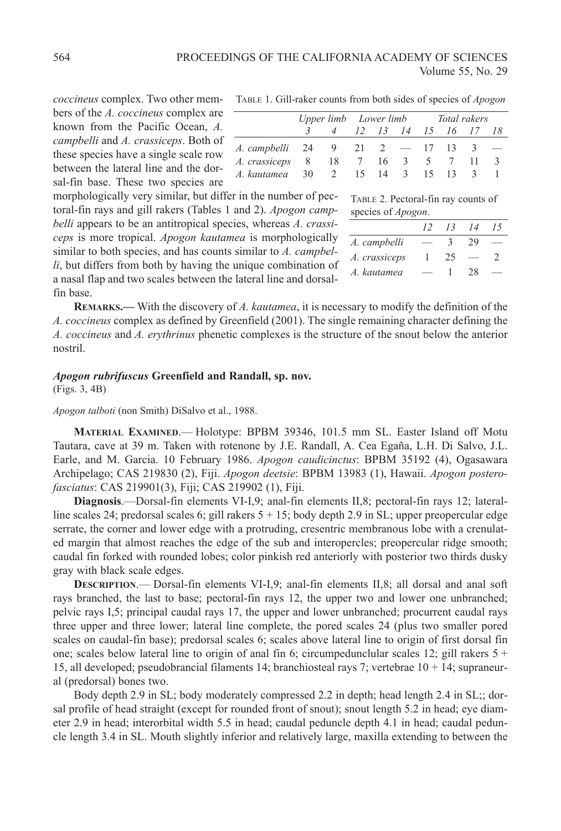*coccineus* complex. Two other members of the *A. coccineus* complex are known from the Pacific Ocean, *A. campbelli* and *A. crassiceps*. Both of these species have a single scale row between the lateral line and the dorsal-fin base. These two species are

TABLE 1. Gill-raker counts from both sides of species of *Apogon*

|                                    |                        |  |  |  | Upper limb Lower limb Total rakers |  |  |  |
|------------------------------------|------------------------|--|--|--|------------------------------------|--|--|--|
|                                    | 4 12 13 14 15 16 17 18 |  |  |  |                                    |  |  |  |
| A. campbelli 24 9 21 2 — 17 13 3 — |                        |  |  |  |                                    |  |  |  |
| A. crassiceps 8 18 7 16 3 5 7 11   |                        |  |  |  |                                    |  |  |  |
| A. kautamea 30 2 15 14 3 15 13 3   |                        |  |  |  |                                    |  |  |  |

species of *Apogon*.

TABLE 2. Pectoral-fin ray counts of

*A. campbelli* — 3 29 — *A. crassiceps* 1 25 — 2 *A. kautamea* — 1 28 —

*12 13 14 15*

morphologically very similar, but differ in the number of pectoral-fin rays and gill rakers (Tables 1 and 2). *Apogon campbelli* appears to be an antitropical species, whereas *A. crassiceps* is more tropical. *Apogon kautamea* is morphologically similar to both species, and has counts similar to *A. campbelli*, but differs from both by having the unique combination of a nasal flap and two scales between the lateral line and dorsalfin base.

**REMARKS.—** With the discovery of *A. kautamea*, it is necessary to modify the definition of the *A. coccineus* complex as defined by Greenfield (2001). The single remaining character defining the *A. coccineus* and *A. erythrinus* phenetic complexes is the structure of the snout below the anterior nostril.

#### *Apogon rubrifuscus* **Greenfield and Randall, sp. nov.**

(Figs. 3, 4B)

*Apogon talboti* (non Smith) DiSalvo et al., 1988.

**MATERIAL EXAMINED**.— Holotype: BPBM 39346, 101.5 mm SL. Easter Island off Motu Tautara, cave at 39 m. Taken with rotenone by J.E. Randall, A. Cea Egaña, L.H. Di Salvo, J.L. Earle, and M. Garcia. 10 February 1986. *Apogon caudicinctus*: BPBM 35192 (4), Ogasawara Archipelago; CAS 219830 (2), Fiji. *Apogon deetsie*: BPBM 13983 (1), Hawaii. *Apogon posterofasciatus*: CAS 219901(3), Fiji; CAS 219902 (1), Fiji.

**Diagnosis**.—Dorsal-fin elements VI-I,9; anal-fin elements II,8; pectoral-fin rays 12; lateralline scales 24; predorsal scales 6; gill rakers 5 + 15; body depth 2.9 in SL; upper preopercular edge serrate, the corner and lower edge with a protruding, cresentric membranous lobe with a crenulated margin that almost reaches the edge of the sub and interopercles; preopercular ridge smooth; caudal fin forked with rounded lobes; color pinkish red anteriorly with posterior two thirds dusky gray with black scale edges.

**DESCRIPTION**.— Dorsal-fin elements VI-I,9; anal-fin elements II,8; all dorsal and anal soft rays branched, the last to base; pectoral-fin rays 12, the upper two and lower one unbranched; pelvic rays I,5; principal caudal rays 17, the upper and lower unbranched; procurrent caudal rays three upper and three lower; lateral line complete, the pored scales 24 (plus two smaller pored scales on caudal-fin base); predorsal scales 6; scales above lateral line to origin of first dorsal fin one; scales below lateral line to origin of anal fin 6; circumpedunclular scales 12; gill rakers  $5 +$ 15, all developed; pseudobrancial filaments 14; branchiosteal rays 7; vertebrae 10 + 14; supraneural (predorsal) bones two.

Body depth 2.9 in SL; body moderately compressed 2.2 in depth; head length 2.4 in SL;; dorsal profile of head straight (except for rounded front of snout); snout length 5.2 in head; eye diameter 2.9 in head; interorbital width 5.5 in head; caudal peduncle depth 4.1 in head; caudal peduncle length 3.4 in SL. Mouth slightly inferior and relatively large, maxilla extending to between the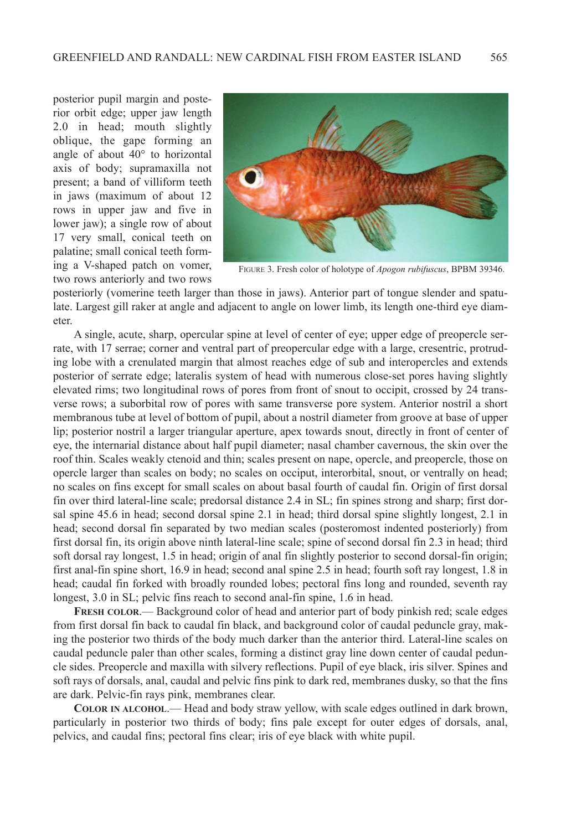posterior pupil margin and posterior orbit edge; upper jaw length 2.0 in head; mouth slightly oblique, the gape forming an angle of about 40° to horizontal axis of body; supramaxilla not present; a band of villiform teeth in jaws (maximum of about 12 rows in upper jaw and five in lower jaw); a single row of about 17 very small, conical teeth on palatine; small conical teeth forming a V-shaped patch on vomer, two rows anteriorly and two rows



FIGURE 3. Fresh color of holotype of *Apogon rubifuscus*, BPBM 39346.

posteriorly (vomerine teeth larger than those in jaws). Anterior part of tongue slender and spatulate. Largest gill raker at angle and adjacent to angle on lower limb, its length one-third eye diameter.

A single, acute, sharp, opercular spine at level of center of eye; upper edge of preopercle serrate, with 17 serrae; corner and ventral part of preopercular edge with a large, cresentric, protruding lobe with a crenulated margin that almost reaches edge of sub and interopercles and extends posterior of serrate edge; lateralis system of head with numerous close-set pores having slightly elevated rims; two longitudinal rows of pores from front of snout to occipit, crossed by 24 transverse rows; a suborbital row of pores with same transverse pore system. Anterior nostril a short membranous tube at level of bottom of pupil, about a nostril diameter from groove at base of upper lip; posterior nostril a larger triangular aperture, apex towards snout, directly in front of center of eye, the internarial distance about half pupil diameter; nasal chamber cavernous, the skin over the roof thin. Scales weakly ctenoid and thin; scales present on nape, opercle, and preopercle, those on opercle larger than scales on body; no scales on occiput, interorbital, snout, or ventrally on head; no scales on fins except for small scales on about basal fourth of caudal fin. Origin of first dorsal fin over third lateral-line scale; predorsal distance 2.4 in SL; fin spines strong and sharp; first dorsal spine 45.6 in head; second dorsal spine 2.1 in head; third dorsal spine slightly longest, 2.1 in head; second dorsal fin separated by two median scales (posteromost indented posteriorly) from first dorsal fin, its origin above ninth lateral-line scale; spine of second dorsal fin 2.3 in head; third soft dorsal ray longest, 1.5 in head; origin of anal fin slightly posterior to second dorsal-fin origin; first anal-fin spine short, 16.9 in head; second anal spine 2.5 in head; fourth soft ray longest, 1.8 in head; caudal fin forked with broadly rounded lobes; pectoral fins long and rounded, seventh ray longest, 3.0 in SL; pelvic fins reach to second anal-fin spine, 1.6 in head.

**FRESH COLOR**.— Background color of head and anterior part of body pinkish red; scale edges from first dorsal fin back to caudal fin black, and background color of caudal peduncle gray, making the posterior two thirds of the body much darker than the anterior third. Lateral-line scales on caudal peduncle paler than other scales, forming a distinct gray line down center of caudal peduncle sides. Preopercle and maxilla with silvery reflections. Pupil of eye black, iris silver. Spines and soft rays of dorsals, anal, caudal and pelvic fins pink to dark red, membranes dusky, so that the fins are dark. Pelvic-fin rays pink, membranes clear.

**COLOR IN ALCOHOL**.— Head and body straw yellow, with scale edges outlined in dark brown, particularly in posterior two thirds of body; fins pale except for outer edges of dorsals, anal, pelvics, and caudal fins; pectoral fins clear; iris of eye black with white pupil.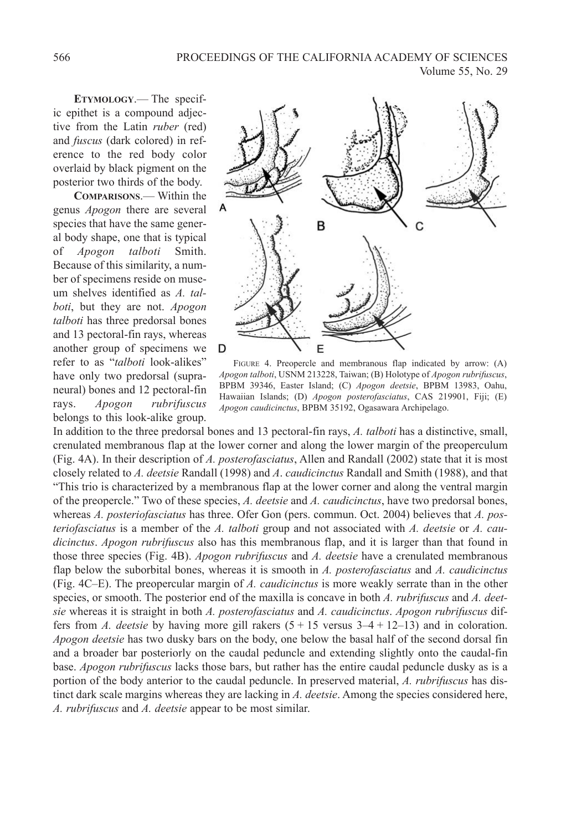**ETYMOLOGY**.— The specific epithet is a compound adjective from the Latin *ruber* (red) and *fuscus* (dark colored) in reference to the red body color overlaid by black pigment on the posterior two thirds of the body.

**COMPARISONS**.— Within the genus *Apogon* there are several species that have the same general body shape, one that is typical of *Apogon talboti* Smith. Because of this similarity, a number of specimens reside on museum shelves identified as *A. talboti*, but they are not. *Apogon talboti* has three predorsal bones and 13 pectoral-fin rays, whereas another group of specimens we refer to as "*talboti* look-alikes" have only two predorsal (supraneural) bones and 12 pectoral-fin rays. *Apogon rubrifuscus* belongs to this look-alike group.



FIGURE 4. Preopercle and membranous flap indicated by arrow: (A) *Apogon talboti*, USNM 213228, Taiwan; (B) Holotype of *Apogon rubrifuscus*, BPBM 39346, Easter Island; (C) *Apogon deetsie*, BPBM 13983, Oahu, Hawaiian Islands; (D) *Apogon posterofasciatus*, CAS 219901, Fiji; (E) *Apogon caudicinctus*, BPBM 35192, Ogasawara Archipelago.

In addition to the three predorsal bones and 13 pectoral-fin rays, *A. talboti* has a distinctive, small, crenulated membranous flap at the lower corner and along the lower margin of the preoperculum (Fig. 4A). In their description of *A. posterofasciatus*, Allen and Randall (2002) state that it is most closely related to *A. deetsie* Randall (1998) and *A*. *caudicinctus* Randall and Smith (1988), and that "This trio is characterized by a membranous flap at the lower corner and along the ventral margin of the preopercle." Two of these species, *A. deetsie* and *A. caudicinctus*, have two predorsal bones, whereas *A. posteriofasciatus* has three. Ofer Gon (pers. commun. Oct. 2004) believes that *A. posteriofasciatus* is a member of the *A. talboti* group and not associated with *A. deetsie* or *A. caudicinctus*. *Apogon rubrifuscus* also has this membranous flap, and it is larger than that found in those three species (Fig. 4B). *Apogon rubrifuscus* and *A. deetsie* have a crenulated membranous flap below the suborbital bones, whereas it is smooth in *A. posterofasciatus* and *A. caudicinctus* (Fig. 4C–E). The preopercular margin of *A. caudicinctus* is more weakly serrate than in the other species, or smooth. The posterior end of the maxilla is concave in both *A. rubrifuscus* and *A. deetsie* whereas it is straight in both *A. posterofasciatus* and *A. caudicinctus*. *Apogon rubrifuscus* differs from *A. deetsie* by having more gill rakers (5 + 15 versus 3–4 + 12–13) and in coloration. *Apogon deetsie* has two dusky bars on the body, one below the basal half of the second dorsal fin and a broader bar posteriorly on the caudal peduncle and extending slightly onto the caudal-fin base. *Apogon rubrifuscus* lacks those bars, but rather has the entire caudal peduncle dusky as is a portion of the body anterior to the caudal peduncle. In preserved material, *A. rubrifuscus* has distinct dark scale margins whereas they are lacking in *A. deetsie*. Among the species considered here, *A. rubrifuscus* and *A. deetsie* appear to be most similar.